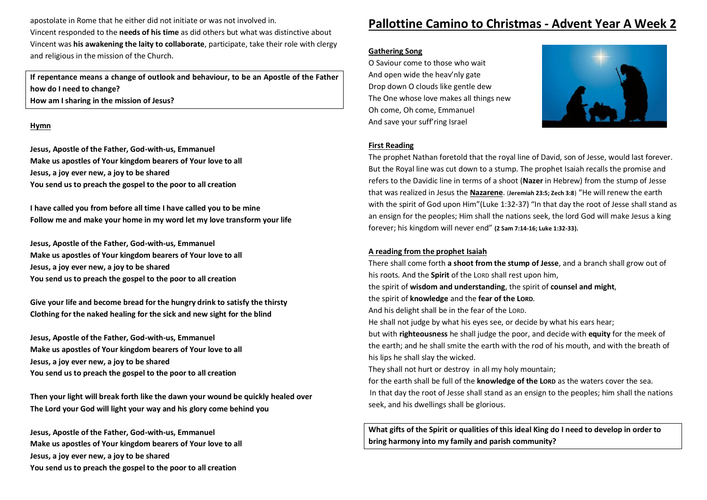apostolate in Rome that he either did not initiate or was not involved in. Vincent responded to the **needs of his time** as did others but what was distinctive about Vincent was **his awakening the laity to collaborate**, participate, take their role with clergy and religious in the mission of the Church.

**If repentance means a change of outlook and behaviour, to be an Apostle of the Father how do I need to change? How am I sharing in the mission of Jesus?**

#### **Hymn**

**Jesus, Apostle of the Father, God-with-us, Emmanuel Make us apostles of Your kingdom bearers of Your love to all Jesus, a joy ever new, a joy to be shared You send us to preach the gospel to the poor to all creation**

**I have called you from before all time I have called you to be mine Follow me and make your home in my word let my love transform your life**

**Jesus, Apostle of the Father, God-with-us, Emmanuel Make us apostles of Your kingdom bearers of Your love to all Jesus, a joy ever new, a joy to be shared You send us to preach the gospel to the poor to all creation**

**Give your life and become bread for the hungry drink to satisfy the thirsty Clothing for the naked healing for the sick and new sight for the blind**

**Jesus, Apostle of the Father, God-with-us, Emmanuel Make us apostles of Your kingdom bearers of Your love to all Jesus, a joy ever new, a joy to be shared You send us to preach the gospel to the poor to all creation**

**Then your light will break forth like the dawn your wound be quickly healed over The Lord your God will light your way and his glory come behind you**

**Jesus, Apostle of the Father, God-with-us, Emmanuel Make us apostles of Your kingdom bearers of Your love to all Jesus, a joy ever new, a joy to be shared You send us to preach the gospel to the poor to all creation**

# **Pallottine Camino to Christmas - Advent Year A Week 2**

### **Gathering Song**

O Saviour come to those who wait And open wide the heav'nly gate Drop down O clouds like gentle dew The One whose love makes all things new Oh come, Oh come, Emmanuel And save your suff'ring Israel



### **First Reading**

The prophet Nathan foretold that the royal line of David, son of Jesse, would last forever. But the Royal line was cut down to a stump. The prophet Isaiah recalls the promise and refers to the Davidic line in terms of a shoot (**Nazer** in Hebrew) from the stump of Jesse that was realized in Jesus the **Nazarene**. (**Jeremiah 23:5; Zech 3:8**) "He will renew the earth with the spirit of God upon Him"(Luke 1:32-37) "In that day the root of Jesse shall stand as an ensign for the peoples; Him shall the nations seek, the lord God will make Jesus a king forever; his kingdom will never end" **(2 Sam 7:14-16; Luke 1:32-33).**

### **A reading from the prophet Isaiah**

seek, and his dwellings shall be glorious.

There shall come forth **a shoot from the stump of Jesse**, and a branch shall grow out of his roots. And the **Spirit** of the LORD shall rest upon him, the spirit of **wisdom and understanding**, the spirit of **counsel and might**, the spirit of **knowledge** and the **fear of the LORD**. And his delight shall be in the fear of the LORD. He shall not judge by what his eyes see, or decide by what his ears hear; but with **righteousness** he shall judge the poor, and decide with **equity** for the meek of the earth; and he shall smite the earth with the rod of his mouth, and with the breath of his lips he shall slay the wicked. They shall not hurt or destroy in all my holy mountain; for the earth shall be full of the **knowledge of the LORD** as the waters cover the sea. In that day the root of Jesse shall stand as an ensign to the peoples; him shall the nations

**What gifts of the Spirit or qualities of this ideal King do I need to develop in order to bring harmony into my family and parish community?**